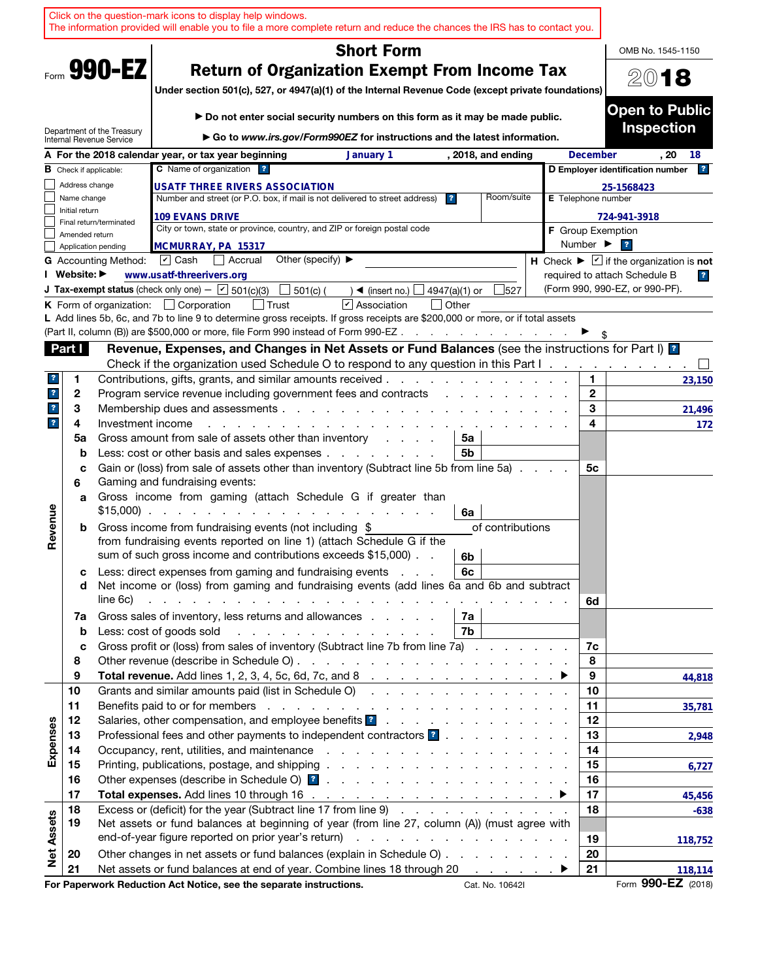|                         |                               |                                                        | Click on the question-mark icons to display help windows.<br>The information provided will enable you to file a more complete return and reduce the chances the IRS has to contact you.                                        |                              |                                                                             |
|-------------------------|-------------------------------|--------------------------------------------------------|--------------------------------------------------------------------------------------------------------------------------------------------------------------------------------------------------------------------------------|------------------------------|-----------------------------------------------------------------------------|
|                         |                               |                                                        | <b>Short Form</b>                                                                                                                                                                                                              |                              | OMB No. 1545-1150                                                           |
| Form 990-EZ             |                               |                                                        | <b>Return of Organization Exempt From Income Tax</b>                                                                                                                                                                           |                              |                                                                             |
|                         |                               |                                                        | Under section 501(c), 527, or 4947(a)(1) of the Internal Revenue Code (except private foundations)                                                                                                                             |                              | 2018                                                                        |
|                         |                               |                                                        |                                                                                                                                                                                                                                |                              | <b>Open to Public</b>                                                       |
|                         |                               |                                                        | ► Do not enter social security numbers on this form as it may be made public.                                                                                                                                                  |                              | <b>Inspection</b>                                                           |
|                         |                               | Department of the Treasury<br>Internal Revenue Service | Go to www.irs.gov/Form990EZ for instructions and the latest information.                                                                                                                                                       |                              |                                                                             |
|                         |                               |                                                        | A For the 2018 calendar year, or tax year beginning<br>January 1<br>, 2018, and ending                                                                                                                                         | <b>December</b>              | . 20<br>18                                                                  |
|                         |                               | <b>B</b> Check if applicable:                          | C Name of organization ?                                                                                                                                                                                                       |                              | ? <br>D Employer identification number                                      |
|                         | Address change<br>Name change |                                                        | USATF THREE RIVERS ASSOCIATION<br>Number and street (or P.O. box, if mail is not delivered to street address)<br>Room/suite<br> ?                                                                                              | E Telephone number           | 25-1568423                                                                  |
|                         | Initial return                |                                                        |                                                                                                                                                                                                                                |                              |                                                                             |
|                         |                               | Final return/terminated                                | <b>109 EVANS DRIVE</b><br>City or town, state or province, country, and ZIP or foreign postal code                                                                                                                             | <b>F</b> Group Exemption     | 724-941-3918                                                                |
|                         | Amended return                | Application pending                                    | MCMURRAY, PA 15317                                                                                                                                                                                                             | Number $\blacktriangleright$ | $\overline{\mathbf{r}}$                                                     |
|                         |                               | <b>G</b> Accounting Method:                            | Other (specify) $\blacktriangleright$<br>$ \mathbf{v} $ Cash<br>Accrual                                                                                                                                                        |                              | H Check $\blacktriangleright \boxed{\mathbf{v}}$ if the organization is not |
|                         | I Website: ▶                  |                                                        | www.usatf-threerivers.org                                                                                                                                                                                                      |                              | required to attach Schedule B<br>$\overline{\mathbf{r}}$                    |
|                         |                               |                                                        | <b>J Tax-exempt status</b> (check only one) - $\boxed{\mathbf{v}}$ 501(c)(3)<br>$\Box$ 501(c) (<br>) 	◄ (insert no.) $\Box$ 4947(a)(1) or<br>527                                                                               |                              | (Form 990, 990-EZ, or 990-PF).                                              |
|                         |                               |                                                        | $\triangleright$ Association<br>  Other<br><b>K</b> Form of organization: $\Box$ Corporation<br>│ Trust                                                                                                                        |                              |                                                                             |
|                         |                               |                                                        | L Add lines 5b, 6c, and 7b to line 9 to determine gross receipts. If gross receipts are \$200,000 or more, or if total assets<br>(Part II, column (B)) are \$500,000 or more, file Form 990 instead of Form 990-EZ             |                              |                                                                             |
|                         | Part I                        |                                                        | Revenue, Expenses, and Changes in Net Assets or Fund Balances (see the instructions for Part I) <b>1</b>                                                                                                                       |                              |                                                                             |
|                         |                               |                                                        | Check if the organization used Schedule O to respond to any question in this Part I.                                                                                                                                           |                              |                                                                             |
| ?                       | 1                             |                                                        | Contributions, gifts, grants, and similar amounts received.                                                                                                                                                                    | 1.                           | 23,150                                                                      |
| $\overline{\mathbf{r}}$ | 2                             |                                                        | Program service revenue including government fees and contracts                                                                                                                                                                | $\mathbf{2}$                 |                                                                             |
| $\mathbf{r}$            | 3                             |                                                        | Membership dues and assessments                                                                                                                                                                                                | 3                            | 21,496                                                                      |
| $\overline{\mathbf{r}}$ | 4                             | Investment income                                      |                                                                                                                                                                                                                                | 4                            | 172                                                                         |
|                         | 5a                            |                                                        | Gross amount from sale of assets other than inventory<br>5a<br>and a state                                                                                                                                                     |                              |                                                                             |
|                         | b<br>c                        |                                                        | Less: cost or other basis and sales expenses<br>5b<br>Gain or (loss) from sale of assets other than inventory (Subtract line 5b from line 5a)                                                                                  | 5с                           |                                                                             |
|                         | 6                             |                                                        | Gaming and fundraising events:                                                                                                                                                                                                 |                              |                                                                             |
|                         | a                             |                                                        | Gross income from gaming (attach Schedule G if greater than                                                                                                                                                                    |                              |                                                                             |
|                         |                               |                                                        | $$15,000$<br>6a                                                                                                                                                                                                                |                              |                                                                             |
| Revenue                 | b                             |                                                        | Gross income from fundraising events (not including \$<br>of contributions                                                                                                                                                     |                              |                                                                             |
|                         |                               |                                                        | from fundraising events reported on line 1) (attach Schedule G if the                                                                                                                                                          |                              |                                                                             |
|                         |                               |                                                        | sum of such gross income and contributions exceeds \$15,000).<br>6b                                                                                                                                                            |                              |                                                                             |
|                         | c<br>d                        |                                                        | Less: direct expenses from gaming and fundraising events<br>6c<br>Net income or (loss) from gaming and fundraising events (add lines 6a and 6b and subtract                                                                    |                              |                                                                             |
|                         |                               | line 6c)                                               | and the contract of the contract of the contract of the contract of the contract of the contract of the contract of the contract of the contract of the contract of the contract of the contract of the contract of the contra | 6d                           |                                                                             |
|                         | 7a                            |                                                        | Gross sales of inventory, less returns and allowances<br>7а                                                                                                                                                                    |                              |                                                                             |
|                         | $\mathbf b$                   |                                                        | 7b<br>Less: cost of goods sold<br>and a series and a series and a series                                                                                                                                                       |                              |                                                                             |
|                         | c                             |                                                        | Gross profit or (loss) from sales of inventory (Subtract line 7b from line 7a)                                                                                                                                                 | 7c                           |                                                                             |
|                         | 8                             |                                                        |                                                                                                                                                                                                                                | 8                            |                                                                             |
|                         | 9<br>10                       |                                                        | Grants and similar amounts paid (list in Schedule O)                                                                                                                                                                           | 9<br>10                      | 44,818                                                                      |
|                         | 11                            |                                                        |                                                                                                                                                                                                                                | 11                           | 35,781                                                                      |
|                         | 12                            |                                                        |                                                                                                                                                                                                                                | 12                           |                                                                             |
| Expenses                | 13                            |                                                        | Professional fees and other payments to independent contractors <b>1</b>                                                                                                                                                       | 13                           | 2,948                                                                       |
|                         | 14                            |                                                        |                                                                                                                                                                                                                                | 14                           |                                                                             |
|                         | 15                            |                                                        |                                                                                                                                                                                                                                | 15                           | 6,727                                                                       |
|                         | 16                            |                                                        |                                                                                                                                                                                                                                | 16                           |                                                                             |
|                         | 17<br>18                      |                                                        | Excess or (deficit) for the year (Subtract line 17 from line 9)                                                                                                                                                                | 17<br>18                     | 45,456                                                                      |
| <b>Net Assets</b>       | 19                            |                                                        | Net assets or fund balances at beginning of year (from line 27, column (A)) (must agree with                                                                                                                                   |                              | $-638$                                                                      |
|                         |                               |                                                        |                                                                                                                                                                                                                                | 19                           | 118,752                                                                     |
|                         | 20                            |                                                        | Other changes in net assets or fund balances (explain in Schedule O)                                                                                                                                                           | 20                           |                                                                             |
|                         | 21                            |                                                        | Net assets or fund balances at end of year. Combine lines 18 through 20                                                                                                                                                        | 21                           | 118,114                                                                     |
|                         |                               |                                                        | For Paperwork Reduction Act Notice, see the separate instructions.<br>Cat. No. 10642I                                                                                                                                          |                              | Form 990-EZ (2018)                                                          |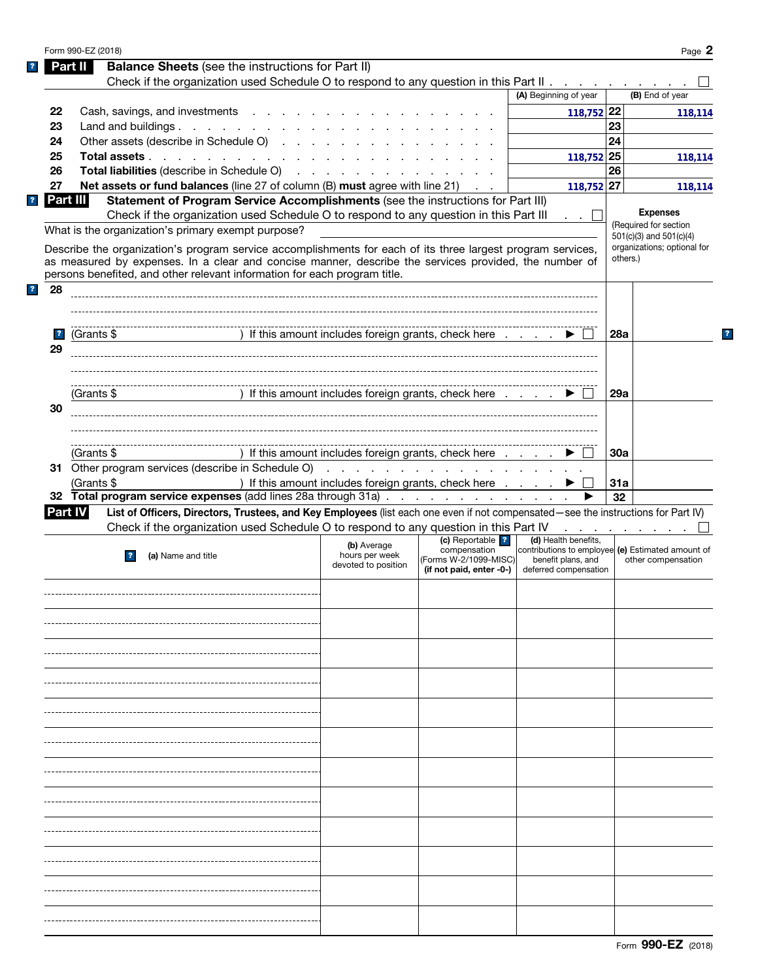|                         | Form 990-EZ (2018)                                                                                                                                                                                                                  |                                                                                                                 |                                  |                                                                           |            | Page 2                                   |
|-------------------------|-------------------------------------------------------------------------------------------------------------------------------------------------------------------------------------------------------------------------------------|-----------------------------------------------------------------------------------------------------------------|----------------------------------|---------------------------------------------------------------------------|------------|------------------------------------------|
|                         | <b>Balance Sheets</b> (see the instructions for Part II)<br>Part II                                                                                                                                                                 |                                                                                                                 |                                  |                                                                           |            |                                          |
|                         | Check if the organization used Schedule O to respond to any question in this Part II                                                                                                                                                |                                                                                                                 |                                  |                                                                           |            |                                          |
|                         |                                                                                                                                                                                                                                     |                                                                                                                 |                                  | (A) Beginning of year                                                     |            | (B) End of year                          |
| 22                      | Cash, savings, and investments                                                                                                                                                                                                      |                                                                                                                 |                                  | 118,752 22                                                                |            | 118,114                                  |
| 23                      | Land and buildings.                                                                                                                                                                                                                 |                                                                                                                 |                                  |                                                                           | 23         |                                          |
| 24                      | Other assets (describe in Schedule O)                                                                                                                                                                                               |                                                                                                                 |                                  |                                                                           | 24         |                                          |
| 25                      |                                                                                                                                                                                                                                     |                                                                                                                 |                                  |                                                                           |            |                                          |
|                         | Total assets                                                                                                                                                                                                                        |                                                                                                                 |                                  | 118,752 25                                                                |            | 118,114                                  |
| 26                      | <b>Total liabilities</b> (describe in Schedule O) (enterprise on the contract of the contract of the contract of the contract of the contract of the contract of the contract of the contract of the contract of the contract of th |                                                                                                                 |                                  |                                                                           | 26         |                                          |
| 27                      | <b>Net assets or fund balances</b> (line 27 of column $(B)$ must agree with line 21) $\ldots$                                                                                                                                       |                                                                                                                 |                                  | $118,752$ 27                                                              |            | 118,114                                  |
| Part III                | Statement of Program Service Accomplishments (see the instructions for Part III)                                                                                                                                                    |                                                                                                                 |                                  |                                                                           |            |                                          |
|                         | Check if the organization used Schedule O to respond to any question in this Part III                                                                                                                                               |                                                                                                                 |                                  | .                                                                         |            | <b>Expenses</b><br>(Required for section |
|                         | What is the organization's primary exempt purpose?                                                                                                                                                                                  |                                                                                                                 |                                  |                                                                           |            | $501(c)(3)$ and $501(c)(4)$              |
|                         | Describe the organization's program service accomplishments for each of its three largest program services,                                                                                                                         |                                                                                                                 |                                  |                                                                           |            | organizations; optional for              |
|                         | as measured by expenses. In a clear and concise manner, describe the services provided, the number of                                                                                                                               |                                                                                                                 |                                  |                                                                           |            | others.)                                 |
|                         | persons benefited, and other relevant information for each program title.                                                                                                                                                           |                                                                                                                 |                                  |                                                                           |            |                                          |
| 28                      |                                                                                                                                                                                                                                     |                                                                                                                 |                                  |                                                                           |            |                                          |
|                         |                                                                                                                                                                                                                                     |                                                                                                                 |                                  |                                                                           |            |                                          |
|                         |                                                                                                                                                                                                                                     |                                                                                                                 |                                  |                                                                           |            |                                          |
| $\overline{\mathbf{r}}$ | (Grants \$                                                                                                                                                                                                                          | ) If this amount includes foreign grants, check here $\ldots$ $\blacksquare$                                    |                                  |                                                                           | 28a        |                                          |
| 29                      |                                                                                                                                                                                                                                     |                                                                                                                 |                                  |                                                                           |            |                                          |
|                         |                                                                                                                                                                                                                                     |                                                                                                                 |                                  |                                                                           |            |                                          |
|                         |                                                                                                                                                                                                                                     |                                                                                                                 |                                  |                                                                           |            |                                          |
|                         |                                                                                                                                                                                                                                     |                                                                                                                 |                                  |                                                                           |            |                                          |
|                         | (Grants \$                                                                                                                                                                                                                          | ) If this amount includes foreign grants, check here                                                            |                                  |                                                                           | 29a        |                                          |
| 30                      |                                                                                                                                                                                                                                     |                                                                                                                 |                                  |                                                                           |            |                                          |
|                         |                                                                                                                                                                                                                                     |                                                                                                                 |                                  |                                                                           |            |                                          |
|                         |                                                                                                                                                                                                                                     |                                                                                                                 |                                  |                                                                           |            |                                          |
|                         | (Grants \$                                                                                                                                                                                                                          | ) If this amount includes foreign grants, check here                                                            |                                  |                                                                           | <b>30a</b> |                                          |
|                         | 31 Other program services (describe in Schedule O)                                                                                                                                                                                  | the contract of the contract of the contract of the contract of the contract of the contract of the contract of |                                  |                                                                           |            |                                          |
|                         | (Grants \$                                                                                                                                                                                                                          | ) If this amount includes foreign grants, check here                                                            |                                  |                                                                           | 31a        |                                          |
|                         |                                                                                                                                                                                                                                     |                                                                                                                 |                                  |                                                                           |            |                                          |
|                         |                                                                                                                                                                                                                                     |                                                                                                                 |                                  |                                                                           |            |                                          |
|                         | 32 Total program service expenses (add lines 28a through 31a)                                                                                                                                                                       |                                                                                                                 |                                  |                                                                           | 32         |                                          |
| <b>Part IV</b>          | List of Officers, Directors, Trustees, and Key Employees (list each one even if not compensated-see the instructions for Part IV)                                                                                                   |                                                                                                                 |                                  |                                                                           |            |                                          |
|                         | Check if the organization used Schedule O to respond to any question in this Part IV                                                                                                                                                |                                                                                                                 |                                  | and a state of the state of the                                           |            |                                          |
|                         |                                                                                                                                                                                                                                     | (b) Average                                                                                                     | (c) Reportable ?<br>compensation | (d) Health benefits,<br>contributions to employee (e) Estimated amount of |            |                                          |
|                         | (a) Name and title                                                                                                                                                                                                                  | hours per week<br>devoted to position                                                                           | (Forms W-2/1099-MISC)            | benefit plans, and                                                        |            | other compensation                       |
|                         |                                                                                                                                                                                                                                     |                                                                                                                 | (if not paid, enter -0-)         | deferred compensation                                                     |            |                                          |
|                         |                                                                                                                                                                                                                                     |                                                                                                                 |                                  |                                                                           |            |                                          |
|                         |                                                                                                                                                                                                                                     |                                                                                                                 |                                  |                                                                           |            |                                          |
|                         |                                                                                                                                                                                                                                     |                                                                                                                 |                                  |                                                                           |            |                                          |
|                         |                                                                                                                                                                                                                                     |                                                                                                                 |                                  |                                                                           |            |                                          |
|                         |                                                                                                                                                                                                                                     |                                                                                                                 |                                  |                                                                           |            |                                          |
|                         |                                                                                                                                                                                                                                     |                                                                                                                 |                                  |                                                                           |            |                                          |
|                         |                                                                                                                                                                                                                                     |                                                                                                                 |                                  |                                                                           |            |                                          |
|                         |                                                                                                                                                                                                                                     |                                                                                                                 |                                  |                                                                           |            |                                          |
|                         |                                                                                                                                                                                                                                     |                                                                                                                 |                                  |                                                                           |            |                                          |
|                         |                                                                                                                                                                                                                                     |                                                                                                                 |                                  |                                                                           |            |                                          |
|                         |                                                                                                                                                                                                                                     |                                                                                                                 |                                  |                                                                           |            |                                          |
|                         |                                                                                                                                                                                                                                     |                                                                                                                 |                                  |                                                                           |            |                                          |
|                         |                                                                                                                                                                                                                                     |                                                                                                                 |                                  |                                                                           |            |                                          |
|                         |                                                                                                                                                                                                                                     |                                                                                                                 |                                  |                                                                           |            |                                          |
|                         |                                                                                                                                                                                                                                     |                                                                                                                 |                                  |                                                                           |            |                                          |
|                         |                                                                                                                                                                                                                                     |                                                                                                                 |                                  |                                                                           |            |                                          |
|                         |                                                                                                                                                                                                                                     |                                                                                                                 |                                  |                                                                           |            |                                          |
|                         |                                                                                                                                                                                                                                     |                                                                                                                 |                                  |                                                                           |            |                                          |
|                         |                                                                                                                                                                                                                                     |                                                                                                                 |                                  |                                                                           |            |                                          |
|                         |                                                                                                                                                                                                                                     |                                                                                                                 |                                  |                                                                           |            |                                          |
|                         |                                                                                                                                                                                                                                     |                                                                                                                 |                                  |                                                                           |            |                                          |
|                         |                                                                                                                                                                                                                                     |                                                                                                                 |                                  |                                                                           |            |                                          |
|                         |                                                                                                                                                                                                                                     |                                                                                                                 |                                  |                                                                           |            |                                          |
|                         |                                                                                                                                                                                                                                     |                                                                                                                 |                                  |                                                                           |            |                                          |
|                         |                                                                                                                                                                                                                                     |                                                                                                                 |                                  |                                                                           |            |                                          |

 $\mathbf{?}$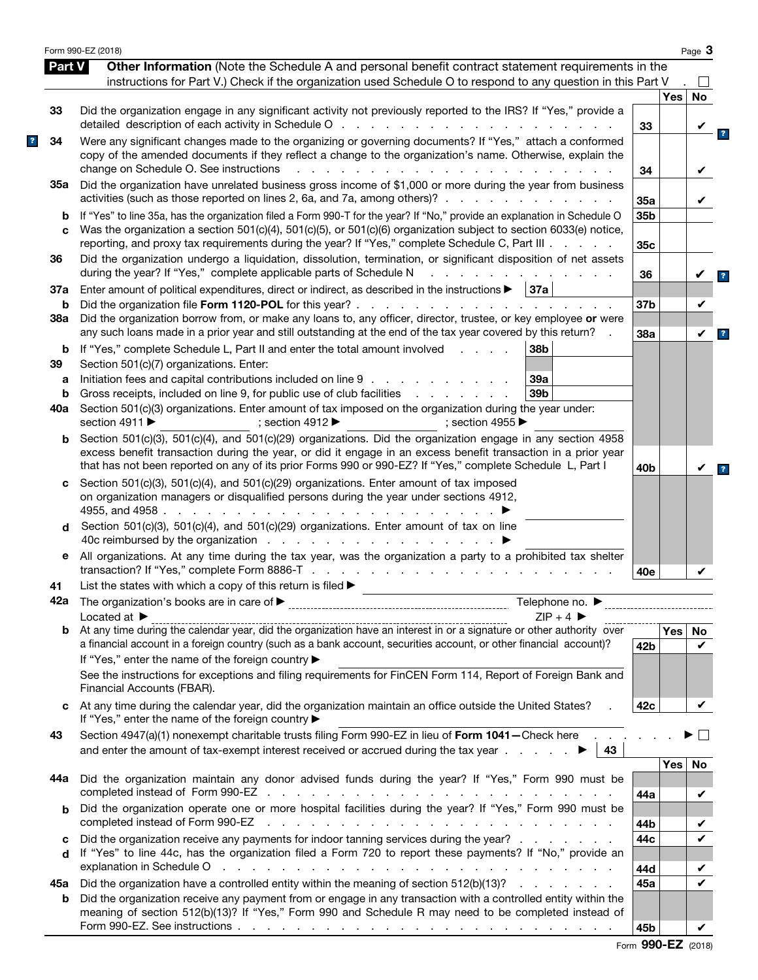|               | Form 990-EZ (2018)                                                                                                                                                                                                                                                                                                                               |            |     | Page 3    |
|---------------|--------------------------------------------------------------------------------------------------------------------------------------------------------------------------------------------------------------------------------------------------------------------------------------------------------------------------------------------------|------------|-----|-----------|
| <b>Part V</b> | Other Information (Note the Schedule A and personal benefit contract statement requirements in the<br>instructions for Part V.) Check if the organization used Schedule O to respond to any question in this Part V                                                                                                                              |            |     |           |
|               |                                                                                                                                                                                                                                                                                                                                                  |            | Yes | <b>No</b> |
| 33            | Did the organization engage in any significant activity not previously reported to the IRS? If "Yes," provide a                                                                                                                                                                                                                                  | 33         |     |           |
| 34            | Were any significant changes made to the organizing or governing documents? If "Yes," attach a conformed<br>copy of the amended documents if they reflect a change to the organization's name. Otherwise, explain the<br>change on Schedule O. See instructions<br>and a strain and a strain and                                                 | 34         |     |           |
| 35а           | Did the organization have unrelated business gross income of \$1,000 or more during the year from business<br>activities (such as those reported on lines 2, 6a, and 7a, among others)?                                                                                                                                                          | 35a        |     |           |
| b<br>C        | If "Yes" to line 35a, has the organization filed a Form 990-T for the year? If "No," provide an explanation in Schedule O<br>Was the organization a section 501(c)(4), 501(c)(5), or 501(c)(6) organization subject to section 6033(e) notice,<br>reporting, and proxy tax requirements during the year? If "Yes," complete Schedule C, Part III | 35b<br>35c |     |           |
| 36            | Did the organization undergo a liquidation, dissolution, termination, or significant disposition of net assets<br>during the year? If "Yes," complete applicable parts of Schedule N                                                                                                                                                             | 36         |     |           |
| 37a           | Enter amount of political expenditures, direct or indirect, as described in the instructions $\blacktriangleright$   37a                                                                                                                                                                                                                         |            |     |           |
| b<br>38a      | Did the organization borrow from, or make any loans to, any officer, director, trustee, or key employee or were                                                                                                                                                                                                                                  | 37b        |     | V         |
| b             | any such loans made in a prior year and still outstanding at the end of the tax year covered by this return?<br>If "Yes," complete Schedule L, Part II and enter the total amount involved<br>38b<br>and the control of                                                                                                                          | 38a        |     | V         |
| 39            | Section 501(c)(7) organizations. Enter:                                                                                                                                                                                                                                                                                                          |            |     |           |
| а<br>b        | Initiation fees and capital contributions included on line 9<br>39a<br>Gross receipts, included on line 9, for public use of club facilities<br>39 <sub>b</sub><br>the contract of the contract of                                                                                                                                               |            |     |           |
| 40a           | Section 501(c)(3) organizations. Enter amount of tax imposed on the organization during the year under:<br>section 4911 ▶<br>; section 4912<br>; section 4955 $\blacktriangleright$                                                                                                                                                              |            |     |           |
| b             | Section 501(c)(3), 501(c)(4), and 501(c)(29) organizations. Did the organization engage in any section 4958<br>excess benefit transaction during the year, or did it engage in an excess benefit transaction in a prior year<br>that has not been reported on any of its prior Forms 990 or 990-EZ? If "Yes," complete Schedule L, Part I        | 40b        |     | V         |
| c<br>d        | Section 501(c)(3), 501(c)(4), and 501(c)(29) organizations. Enter amount of tax imposed<br>on organization managers or disqualified persons during the year under sections 4912,<br>4955, and 4958.<br>the contract of the contract of the<br>Section 501(c)(3), 501(c)(4), and 501(c)(29) organizations. Enter amount of tax on line            |            |     |           |
| е             | All organizations. At any time during the tax year, was the organization a party to a prohibited tax shelter                                                                                                                                                                                                                                     |            |     |           |
|               |                                                                                                                                                                                                                                                                                                                                                  | 40e        |     |           |
| 41            | List the states with which a copy of this return is filed $\blacktriangleright$                                                                                                                                                                                                                                                                  |            |     |           |
|               | Telephone no. $\blacktriangleright$<br>$ZIP + 4$<br>Located at $\blacktriangleright$                                                                                                                                                                                                                                                             |            |     |           |
| b             | a financial account in a foreign country (such as a bank account, securities account, or other financial account)?<br>If "Yes," enter the name of the foreign country ▶                                                                                                                                                                          | 42b        | Yes | No<br>V   |
|               | See the instructions for exceptions and filing requirements for FinCEN Form 114, Report of Foreign Bank and<br>Financial Accounts (FBAR).                                                                                                                                                                                                        |            |     |           |
| c             | At any time during the calendar year, did the organization maintain an office outside the United States?<br>If "Yes," enter the name of the foreign country ▶                                                                                                                                                                                    | 42c        |     | V         |
| 43            | Section 4947(a)(1) nonexempt charitable trusts filing Form 990-EZ in lieu of Form 1041-Check here<br>43                                                                                                                                                                                                                                          |            |     |           |
| 44а           | Did the organization maintain any donor advised funds during the year? If "Yes," Form 990 must be                                                                                                                                                                                                                                                |            | Yes | No        |
|               |                                                                                                                                                                                                                                                                                                                                                  | 44a        |     | V         |
| b             | Did the organization operate one or more hospital facilities during the year? If "Yes," Form 990 must be<br>completed instead of Form 990-EZ<br>the contract of the contract of the contract of the contract of the contract of the contract of the contract of                                                                                  | 44b        |     |           |
| c             | Did the organization receive any payments for indoor tanning services during the year?                                                                                                                                                                                                                                                           | 44c        |     |           |
| d             | If "Yes" to line 44c, has the organization filed a Form 720 to report these payments? If "No," provide an<br>explanation in Schedule O response to the contract of the contract of the contract of the contract of the contract of the contract of the contract of the contract of the contract of the contract of the contract of the cont      | 44d        |     |           |
| 45а           | Did the organization have a controlled entity within the meaning of section 512(b)(13)?                                                                                                                                                                                                                                                          | 45a        |     |           |
| b             | Did the organization receive any payment from or engage in any transaction with a controlled entity within the<br>meaning of section 512(b)(13)? If "Yes," Form 990 and Schedule R may need to be completed instead of                                                                                                                           |            |     |           |
|               |                                                                                                                                                                                                                                                                                                                                                  | 45b        |     |           |